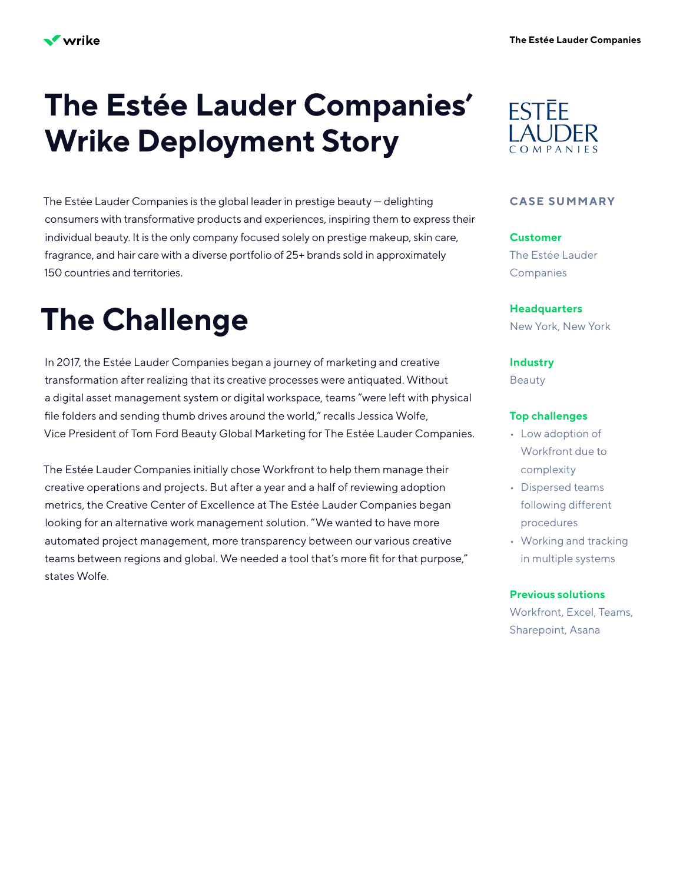# **The Estée Lauder Companies' Wrike Deployment Story**

The Estée Lauder Companies is the global leader in prestige beauty — delighting consumers with transformative products and experiences, inspiring them to express their individual beauty. It is the only company focused solely on prestige makeup, skin care, fragrance, and hair care with a diverse portfolio of 25+ brands sold in approximately 150 countries and territories.

# **The Challenge**

In 2017, the Estée Lauder Companies began a journey of marketing and creative transformation after realizing that its creative processes were antiquated. Without a digital asset management system or digital workspace, teams "were left with physical file folders and sending thumb drives around the world," recalls Jessica Wolfe, Vice President of Tom Ford Beauty Global Marketing for The Estée Lauder Companies.

The Estée Lauder Companies initially chose Workfront to help them manage their creative operations and projects. But after a year and a half of reviewing adoption metrics, the Creative Center of Excellence at The Estée Lauder Companies began looking for an alternative work management solution. "We wanted to have more automated project management, more transparency between our various creative teams between regions and global. We needed a tool that's more fit for that purpose," states Wolfe.



### **CASE SUMMARY**

**Customer** The Estée Lauder **Companies** 

**Headquarters** New York, New York

**Industry**

Beauty

### **Top challenges**

- Low adoption of Workfront due to complexity
- Dispersed teams following different procedures
- Working and tracking in multiple systems

### **Previous solutions**

Workfront, Excel, Teams, Sharepoint, Asana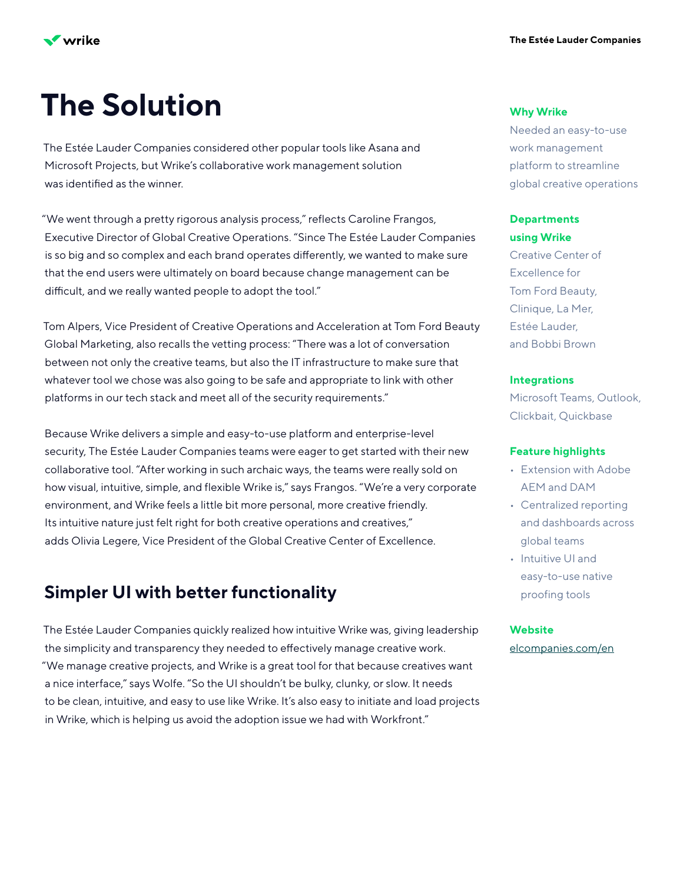

# **The Solution**

The Estée Lauder Companies considered other popular tools like Asana and Microsoft Projects, but Wrike's collaborative work management solution was identified as the winner.

"We went through a pretty rigorous analysis process," reflects Caroline Frangos, Executive Director of Global Creative Operations. "Since The Estée Lauder Companies is so big and so complex and each brand operates differently, we wanted to make sure that the end users were ultimately on board because change management can be difficult, and we really wanted people to adopt the tool."

Tom Alpers, Vice President of Creative Operations and Acceleration at Tom Ford Beauty Global Marketing, also recalls the vetting process: "There was a lot of conversation between not only the creative teams, but also the IT infrastructure to make sure that whatever tool we chose was also going to be safe and appropriate to link with other platforms in our tech stack and meet all of the security requirements."

Because Wrike delivers a simple and easy-to-use platform and enterprise-level security, The Estée Lauder Companies teams were eager to get started with their new collaborative tool. "After working in such archaic ways, the teams were really sold on how visual, intuitive, simple, and flexible Wrike is," says Frangos. "We're a very corporate environment, and Wrike feels a little bit more personal, more creative friendly. Its intuitive nature just felt right for both creative operations and creatives," adds Olivia Legere, Vice President of the Global Creative Center of Excellence.

# **Simpler UI with better functionality**

The Estée Lauder Companies quickly realized how intuitive Wrike was, giving leadership the simplicity and transparency they needed to effectively manage creative work. "We manage creative projects, and Wrike is a great tool for that because creatives want a nice interface," says Wolfe. "So the UI shouldn't be bulky, clunky, or slow. It needs to be clean, intuitive, and easy to use like Wrike. It's also easy to initiate and load projects in Wrike, which is helping us avoid the adoption issue we had with Workfront."

### **Why Wrike**

Needed an easy-to-use work management platform to streamline global creative operations

## **Departments using Wrike**

Creative Center of Excellence for Tom Ford Beauty, Clinique, La Mer, Estée Lauder, and Bobbi Brown

## **Integrations**

Microsoft Teams, Outlook, Clickbait, Quickbase

### **Feature highlights**

- Extension with Adobe AEM and DAM
- Centralized reporting and dashboards across global teams
- Intuitive UI and easy-to-use native proofing tools

### **Website**

[elcompanies.com/en](https://www.elcompanies.com/en)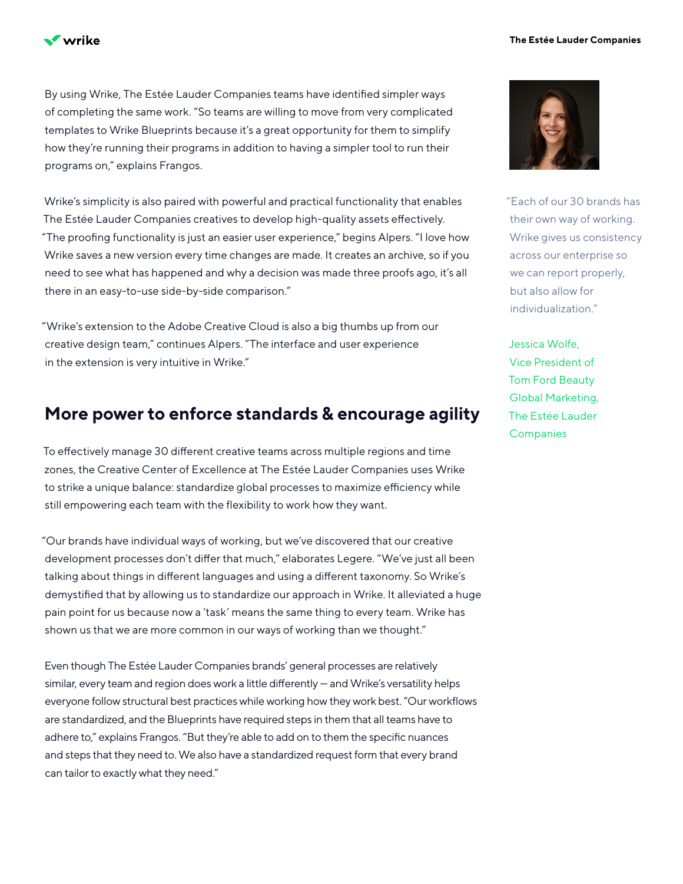

By using Wrike, The Estée Lauder Companies teams have identified simpler ways of completing the same work. "So teams are willing to move from very complicated templates to Wrike Blueprints because it's a great opportunity for them to simplify how they're running their programs in addition to having a simpler tool to run their programs on," explains Frangos.

Wrike's simplicity is also paired with powerful and practical functionality that enables The Estée Lauder Companies creatives to develop high-quality assets effectively. "The proofing functionality is just an easier user experience," begins Alpers. "I love how Wrike saves a new version every time changes are made. It creates an archive, so if you need to see what has happened and why a decision was made three proofs ago, it's all there in an easy-to-use side-by-side comparison."

"Wrike's extension to the Adobe Creative Cloud is also a big thumbs up from our creative design team," continues Alpers. "The interface and user experience in the extension is very intuitive in Wrike."

## **More power to enforce standards & encourage agility**

To effectively manage 30 different creative teams across multiple regions and time zones, the Creative Center of Excellence at The Estée Lauder Companies uses Wrike to strike a unique balance: standardize global processes to maximize efficiency while still empowering each team with the flexibility to work how they want.

"Our brands have individual ways of working, but we've discovered that our creative development processes don't differ that much," elaborates Legere. "We've just all been talking about things in different languages and using a different taxonomy. So Wrike's demystified that by allowing us to standardize our approach in Wrike. It alleviated a huge pain point for us because now a 'task' means the same thing to every team. Wrike has shown us that we are more common in our ways of working than we thought."

Even though The Estée Lauder Companies brands' general processes are relatively similar, every team and region does work a little differently — and Wrike's versatility helps everyone follow structural best practices while working how they work best. "Our workflows are standardized, and the Blueprints have required steps in them that all teams have to adhere to," explains Frangos. "But they're able to add on to them the specific nuances and steps that they need to. We also have a standardized request form that every brand can tailor to exactly what they need."



"Each of our 30 brands has their own way of working. Wrike gives us consistency across our enterprise so we can report properly, but also allow for individualization."

Jessica Wolfe, Vice President of Tom Ford Beauty Global Marketing, The Estée Lauder **Companies**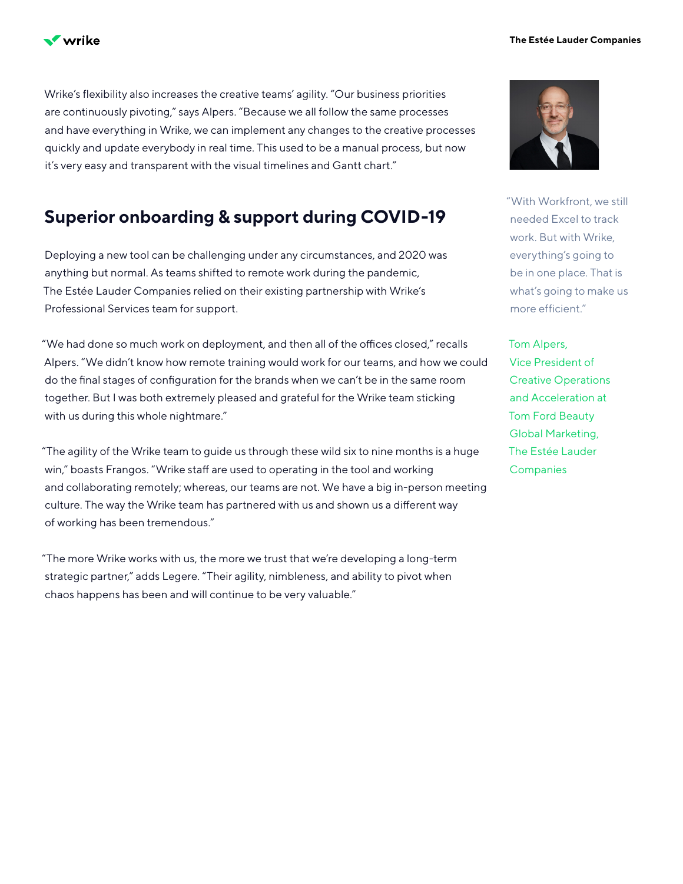

**The Estée Lauder Companies**

Wrike's flexibility also increases the creative teams' agility. "Our business priorities are continuously pivoting," says Alpers. "Because we all follow the same processes and have everything in Wrike, we can implement any changes to the creative processes quickly and update everybody in real time. This used to be a manual process, but now it's very easy and transparent with the visual timelines and Gantt chart."

# **Superior onboarding & support during COVID-19**

Deploying a new tool can be challenging under any circumstances, and 2020 was anything but normal. As teams shifted to remote work during the pandemic, The Estée Lauder Companies relied on their existing partnership with Wrike's Professional Services team for support.

"We had done so much work on deployment, and then all of the offices closed," recalls Alpers. "We didn't know how remote training would work for our teams, and how we could do the final stages of configuration for the brands when we can't be in the same room together. But I was both extremely pleased and grateful for the Wrike team sticking with us during this whole nightmare."

"The agility of the Wrike team to guide us through these wild six to nine months is a huge win," boasts Frangos. "Wrike staff are used to operating in the tool and working and collaborating remotely; whereas, our teams are not. We have a big in-person meeting culture. The way the Wrike team has partnered with us and shown us a different way of working has been tremendous."

"The more Wrike works with us, the more we trust that we're developing a long-term strategic partner," adds Legere. "Their agility, nimbleness, and ability to pivot when chaos happens has been and will continue to be very valuable."



"With Workfront, we still needed Excel to track work. But with Wrike, everything's going to be in one place. That is what's going to make us more efficient."

Tom Alpers, Vice President of Creative Operations and Acceleration at Tom Ford Beauty Global Marketing, The Estée Lauder **Companies**